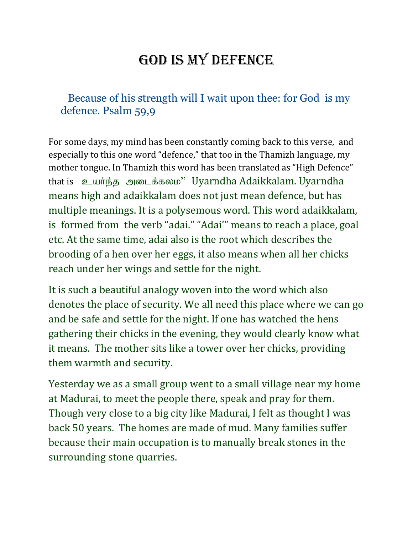## GOD IS MY DEFENCE

## Because of his strength will I wait upon thee: for God is my defence. Psalm 59,9

For some days, my mind has been constantly coming back to this verse, and especially to this one word "defence," that too in the Thamizh language, my mother tongue. In Thamizh this word has been translated as "High Defence" that is உயர்ந்த அடைக்கலம<sup>3</sup> Uyarndha Adaikkalam. Uyarndha means high and adaikkalam does not just mean defence, but has multiple meanings. It is a polysemous word. This word adaikkalam, is formed from the verb "adai." "Adai'" means to reach a place, goal etc. At the same time, adai also is the root which describes the brooding of a hen over her eggs, it also means when all her chicks reach under her wings and settle for the night.

It is such a beautiful analogy woven into the word which also denotes the place of security. We all need this place where we can go and be safe and settle for the night. If one has watched the hens gathering their chicks in the evening, they would clearly know what it means. The mother sits like a tower over her chicks, providing them warmth and security.

Yesterday we as a small group went to a small village near my home at Madurai, to meet the people there, speak and pray for them. Though very close to a big city like Madurai, I felt as thought I was back 50 years. The homes are made of mud. Many families suffer because their main occupation is to manually break stones in the surrounding stone quarries.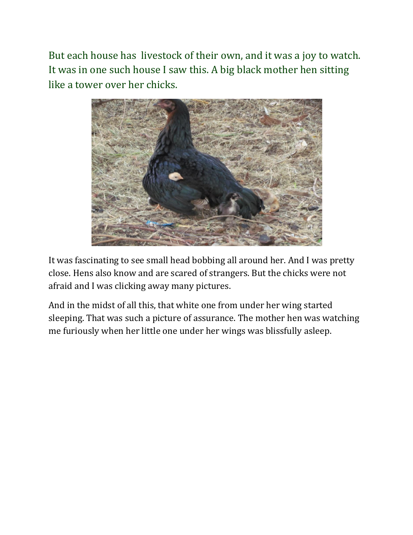But each house has livestock of their own, and it was a joy to watch. It was in one such house I saw this. A big black mother hen sitting like a tower over her chicks.



It was fascinating to see small head bobbing all around her. And I was pretty close. Hens also know and are scared of strangers. But the chicks were not afraid and I was clicking away many pictures.

And in the midst of all this, that white one from under her wing started sleeping. That was such a picture of assurance. The mother hen was watching me furiously when her little one under her wings was blissfully asleep.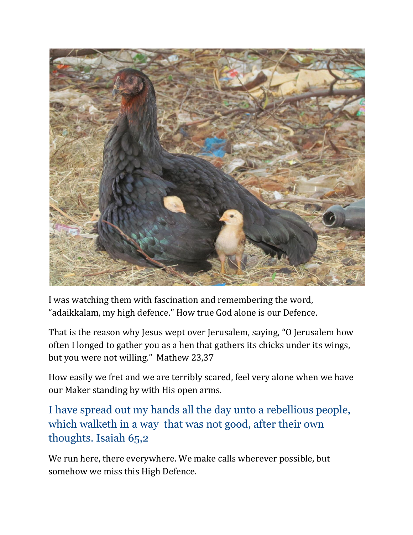

I was watching them with fascination and remembering the word, "adaikkalam, my high defence." How true God alone is our Defence.

That is the reason why Jesus wept over Jerusalem, saying, "O Jerusalem how often I longed to gather you as a hen that gathers its chicks under its wings, but you were not willing." Mathew 23,37

How easily we fret and we are terribly scared, feel very alone when we have our Maker standing by with His open arms.

I have spread out my hands all the day unto a rebellious people, which walketh in a way that was not good, after their own thoughts. Isaiah 65,2

We run here, there everywhere. We make calls wherever possible, but somehow we miss this High Defence.